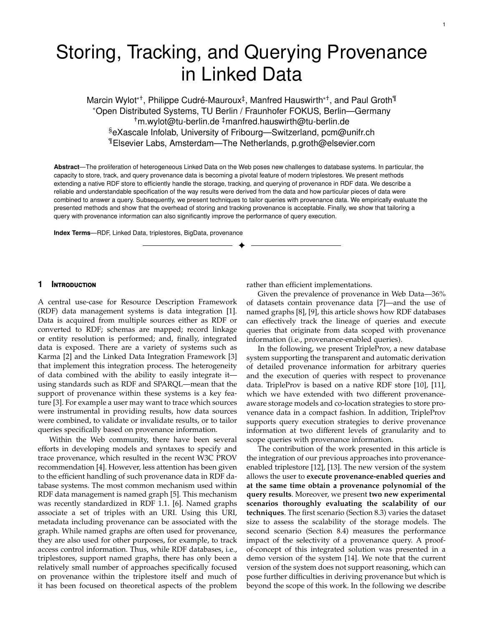# Storing, Tracking, and Querying Provenance in Linked Data

Marcin Wylot<sup>\*†</sup>, Philippe Cudré-Mauroux<sup>‡</sup>, Manfred Hauswirth<sup>\*†</sup>, and Paul Groth<sup>¶</sup> <sup>∗</sup>Open Distributed Systems, TU Berlin / Fraunhofer FOKUS, Berlin—Germany †m.wylot@tu-berlin.de ‡manfred.hauswirth@tu-berlin.de §eXascale Infolab, University of Fribourg—Switzerland, pcm@unifr.ch ¶Elsevier Labs, Amsterdam—The Netherlands, p.groth@elsevier.com

**Abstract**—The proliferation of heterogeneous Linked Data on the Web poses new challenges to database systems. In particular, the capacity to store, track, and query provenance data is becoming a pivotal feature of modern triplestores. We present methods extending a native RDF store to efficiently handle the storage, tracking, and querying of provenance in RDF data. We describe a reliable and understandable specification of the way results were derived from the data and how particular pieces of data were combined to answer a query. Subsequently, we present techniques to tailor queries with provenance data. We empirically evaluate the presented methods and show that the overhead of storing and tracking provenance is acceptable. Finally, we show that tailoring a query with provenance information can also significantly improve the performance of query execution.

✦

**Index Terms**—RDF, Linked Data, triplestores, BigData, provenance

# **1 I**ntroduction

A central use-case for Resource Description Framework (RDF) data management systems is data integration [1]. Data is acquired from multiple sources either as RDF or converted to RDF; schemas are mapped; record linkage or entity resolution is performed; and, finally, integrated data is exposed. There are a variety of systems such as Karma [2] and the Linked Data Integration Framework [3] that implement this integration process. The heterogeneity of data combined with the ability to easily integrate it using standards such as RDF and SPARQL—mean that the support of provenance within these systems is a key feature [3]. For example a user may want to trace which sources were instrumental in providing results, how data sources were combined, to validate or invalidate results, or to tailor queries specifically based on provenance information.

Within the Web community, there have been several efforts in developing models and syntaxes to specify and trace provenance, which resulted in the recent W3C PROV recommendation [4]. However, less attention has been given to the efficient handling of such provenance data in RDF database systems. The most common mechanism used within RDF data management is named graph [5]. This mechanism was recently standardized in RDF 1.1. [6]. Named graphs associate a set of triples with an URI. Using this URI, metadata including provenance can be associated with the graph. While named graphs are often used for provenance, they are also used for other purposes, for example, to track access control information. Thus, while RDF databases, i.e., triplestores, support named graphs, there has only been a relatively small number of approaches specifically focused on provenance within the triplestore itself and much of it has been focused on theoretical aspects of the problem

rather than efficient implementations.

Given the prevalence of provenance in Web Data—36% of datasets contain provenance data [7]—and the use of named graphs [8], [9], this article shows how RDF databases can effectively track the lineage of queries and execute queries that originate from data scoped with provenance information (i.e., provenance-enabled queries).

In the following, we present TripleProv, a new database system supporting the transparent and automatic derivation of detailed provenance information for arbitrary queries and the execution of queries with respect to provenance data. TripleProv is based on a native RDF store [10], [11], which we have extended with two different provenanceaware storage models and co-location strategies to store provenance data in a compact fashion. In addition, TripleProv supports query execution strategies to derive provenance information at two different levels of granularity and to scope queries with provenance information.

The contribution of the work presented in this article is the integration of our previous approaches into provenanceenabled triplestore [12], [13]. The new version of the system allows the user to **execute provenance-enabled queries and at the same time obtain a provenance polynomial of the query results**. Moreover, we present **two new experimental scenarios thoroughly evaluating the scalability of our techniques**. The first scenario (Section 8.3) varies the dataset size to assess the scalability of the storage models. The second scenario (Section 8.4) measures the performance impact of the selectivity of a provenance query. A proofof-concept of this integrated solution was presented in a demo version of the system [14]. We note that the current version of the system does not support reasoning, which can pose further difficulties in deriving provenance but which is beyond the scope of this work. In the following we describe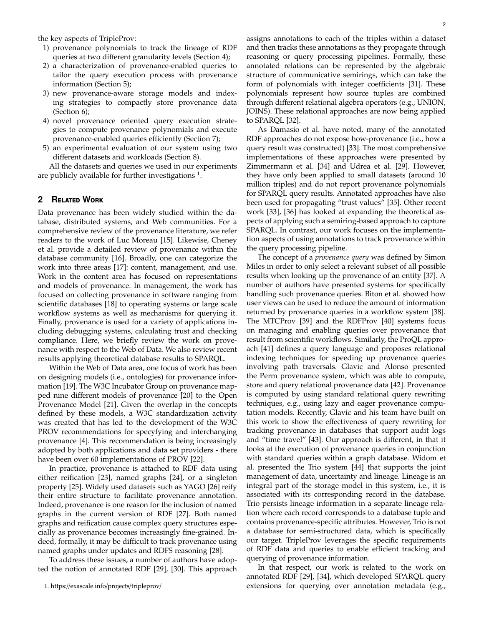the key aspects of TripleProv:

- 1) provenance polynomials to track the lineage of RDF queries at two different granularity levels (Section 4);
- 2) a characterization of provenance-enabled queries to tailor the query execution process with provenance information (Section 5);
- 3) new provenance-aware storage models and indexing strategies to compactly store provenance data (Section 6);
- 4) novel provenance oriented query execution strategies to compute provenance polynomials and execute provenance-enabled queries efficiently (Section 7);
- 5) an experimental evaluation of our system using two different datasets and workloads (Section 8).

All the datasets and queries we used in our experiments are publicly available for further investigations  $^1$ .

# **2 R**elated **W**ork

Data provenance has been widely studied within the database, distributed systems, and Web communities. For a comprehensive review of the provenance literature, we refer readers to the work of Luc Moreau [15]. Likewise, Cheney et al. provide a detailed review of provenance within the database community [16]. Broadly, one can categorize the work into three areas [17]: content, management, and use. Work in the content area has focused on representations and models of provenance. In management, the work has focused on collecting provenance in software ranging from scientific databases [18] to operating systems or large scale workflow systems as well as mechanisms for querying it. Finally, provenance is used for a variety of applications including debugging systems, calculating trust and checking compliance. Here, we briefly review the work on provenance with respect to the Web of Data. We also review recent results applying theoretical database results to SPARQL.

Within the Web of Data area, one focus of work has been on designing models (i.e., ontologies) for provenance information [19]. The W3C Incubator Group on provenance mapped nine different models of provenance [20] to the Open Provenance Model [21]. Given the overlap in the concepts defined by these models, a W3C standardization activity was created that has led to the development of the W3C PROV recommendations for specyfying and interchanging provenance [4]. This recommendation is being increasingly adopted by both applications and data set providers - there have been over 60 implementations of PROV [22].

In practice, provenance is attached to RDF data using either reification [23], named graphs [24], or a singleton property [25]. Widely used datasets such as YAGO [26] reify their entire structure to facilitate provenance annotation. Indeed, provenance is one reason for the inclusion of named graphs in the current version of RDF [27]. Both named graphs and reification cause complex query structures especially as provenance becomes increasingly fine-grained. Indeed, formally, it may be difficult to track provenance using named graphs under updates and RDFS reasoning [28].

To address these issues, a number of authors have adopted the notion of annotated RDF [29], [30]. This approach

assigns annotations to each of the triples within a dataset and then tracks these annotations as they propagate through reasoning or query processing pipelines. Formally, these annotated relations can be represented by the algebraic structure of communicative semirings, which can take the form of polynomials with integer coefficients [31]. These polynomials represent how source tuples are combined through different relational algebra operators (e.g., UNION, JOINS). These relational approaches are now being applied to SPARQL [32].

As Damasio et al. have noted, many of the annotated RDF approaches do not expose how-provenance (i.e., how a query result was constructed) [33]. The most comprehensive implementations of these approaches were presented by Zimmermann et al. [34] and Udrea et al. [29]. However, they have only been applied to small datasets (around 10 million triples) and do not report provenance polynomials for SPARQL query results. Annotated approaches have also been used for propagating "trust values" [35]. Other recent work [33], [36] has looked at expanding the theoretical aspects of applying such a semiring-based approach to capture SPARQL. In contrast, our work focuses on the implementation aspects of using annotations to track provenance within the query processing pipeline.

The concept of a *provenance query* was defined by Simon Miles in order to only select a relevant subset of all possible results when looking up the provenance of an entity [37]. A number of authors have presented systems for specifically handling such provenance queries. Biton et al. showed how user views can be used to reduce the amount of information returned by provenance queries in a workflow system [38]. The MTCProv [39] and the RDFProv [40] systems focus on managing and enabling queries over provenance that result from scientific workflows. Similarly, the ProQL approach [41] defines a query language and proposes relational indexing techniques for speeding up provenance queries involving path traversals. Glavic and Alonso presented the Perm provenance system, which was able to compute, store and query relational provenance data [42]. Provenance is computed by using standard relational query rewriting techniques, e.g., using lazy and eager provenance computation models. Recently, Glavic and his team have built on this work to show the effectiveness of query rewriting for tracking provenance in databases that support audit logs and "time travel" [43]. Our approach is different, in that it looks at the execution of provenance queries in conjunction with standard queries within a graph database. Widom et al. presented the Trio system [44] that supports the joint management of data, uncertainty and lineage. Lineage is an integral part of the storage model in this system, i.e., it is associated with its corresponding record in the database. Trio persists lineage information in a separate lineage relation where each record corresponds to a database tuple and contains provenance-specific attributes. However, Trio is not a database for semi-structured data, which is specifically our target. TripleProv leverages the specific requirements of RDF data and queries to enable efficient tracking and querying of provenance information.

In that respect, our work is related to the work on annotated RDF [29], [34], which developed SPARQL query extensions for querying over annotation metadata (e.g.,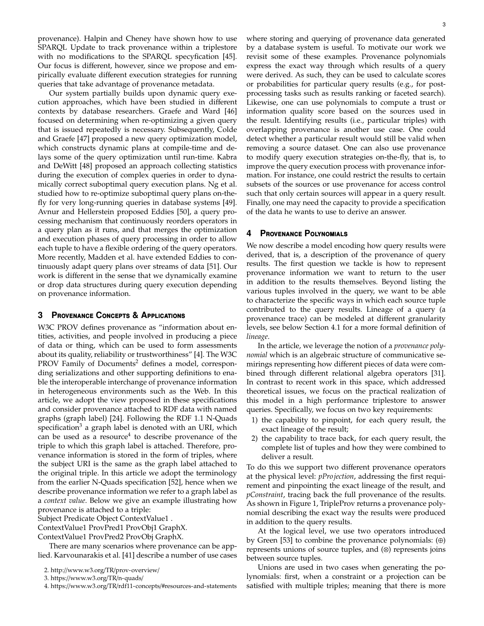provenance). Halpin and Cheney have shown how to use SPARQL Update to track provenance within a triplestore with no modifications to the SPARQL specyfication [45]. Our focus is different, however, since we propose and empirically evaluate different execution strategies for running queries that take advantage of provenance metadata.

Our system partially builds upon dynamic query execution approaches, which have been studied in different contexts by database researchers. Graefe and Ward [46] focused on determining when re-optimizing a given query that is issued repeatedly is necessary. Subsequently, Colde and Graefe [47] proposed a new query optimization model, which constructs dynamic plans at compile-time and delays some of the query optimization until run-time. Kabra and DeWitt [48] proposed an approach collecting statistics during the execution of complex queries in order to dynamically correct suboptimal query execution plans. Ng et al. studied how to re-optimize suboptimal query plans on-thefly for very long-running queries in database systems [49]. Avnur and Hellerstein proposed Eddies [50], a query processing mechanism that continuously reorders operators in a query plan as it runs, and that merges the optimization and execution phases of query processing in order to allow each tuple to have a flexible ordering of the query operators. More recently, Madden et al. have extended Eddies to continuously adapt query plans over streams of data [51]. Our work is different in the sense that we dynamically examine or drop data structures during query execution depending on provenance information.

## **3 P**rovenance **C**oncepts **& A**pplications

W3C PROV defines provenance as "information about entities, activities, and people involved in producing a piece of data or thing, which can be used to form assessments about its quality, reliability or trustworthiness" [4]. The W3C PROV Family of Documents<sup>2</sup> defines a model, corresponding serializations and other supporting definitions to enable the interoperable interchange of provenance information in heterogeneous environments such as the Web. In this article, we adopt the view proposed in these specifications and consider provenance attached to RDF data with named graphs (graph label) [24]. Following the RDF 1.1 N-Quads specification<sup>3</sup> a graph label is denoted with an URI, which can be used as a resource<sup>4</sup> to describe provenance of the triple to which this graph label is attached. Therefore, provenance information is stored in the form of triples, where the subject URI is the same as the graph label attached to the original triple. In this article we adopt the terminology from the earlier N-Quads specification [52], hence when we describe provenance information we refer to a graph label as a *context value*. Below we give an example illustrating how provenance is attached to a triple:

Subject Predicate Object ContextValue1 .

ContextValue1 ProvPred1 ProvObj1 GraphX.

ContextValue1 ProvPred2 ProvObj GraphX.

There are many scenarios where provenance can be applied. Karvounarakis et al. [41] describe a number of use cases where storing and querying of provenance data generated by a database system is useful. To motivate our work we revisit some of these examples. Provenance polynomials express the exact way through which results of a query were derived. As such, they can be used to calculate scores or probabilities for particular query results (e.g., for postprocessing tasks such as results ranking or faceted search). Likewise, one can use polynomials to compute a trust or information quality score based on the sources used in the result. Identifying results (i.e., particular triples) with overlapping provenance is another use case. One could detect whether a particular result would still be valid when removing a source dataset. One can also use provenance to modify query execution strategies on-the-fly, that is, to improve the query execution process with provenance information. For instance, one could restrict the results to certain subsets of the sources or use provenance for access control such that only certain sources will appear in a query result. Finally, one may need the capacity to provide a specification of the data he wants to use to derive an answer.

# **4 P**rovenance **P**olynomials

We now describe a model encoding how query results were derived, that is, a description of the provenance of query results. The first question we tackle is how to represent provenance information we want to return to the user in addition to the results themselves. Beyond listing the various tuples involved in the query, we want to be able to characterize the specific ways in which each source tuple contributed to the query results. Lineage of a query (a provenance trace) can be modeled at different granularity levels, see below Section 4.1 for a more formal definition of *lineage*.

In the article, we leverage the notion of a *provenance polynomial* which is an algebraic structure of communicative semirings representing how different pieces of data were combined through different relational algebra operators [31]. In contrast to recent work in this space, which addressed theoretical issues, we focus on the practical realization of this model in a high performance triplestore to answer queries. Specifically, we focus on two key requirements:

- 1) the capability to pinpoint, for each query result, the exact lineage of the result;
- 2) the capability to trace back, for each query result, the complete list of tuples and how they were combined to deliver a result.

To do this we support two different provenance operators at the physical level: *pProjection*, addressing the first requirement and pinpointing the exact lineage of the result, and *pConstraint*, tracing back the full provenance of the results. As shown in Figure 1, TripleProv returns a provenance polynomial describing the exact way the results were produced in addition to the query results.

At the logical level, we use two operators introduced by Green [53] to combine the provenance polynomials: (⊕) represents unions of source tuples, and (⊗) represents joins between source tuples.

Unions are used in two cases when generating the polynomials: first, when a constraint or a projection can be satisfied with multiple triples; meaning that there is more

<sup>2.</sup> http://www.w3.org/TR/prov-overview/

<sup>3.</sup> https://www.w3.org/TR/n-quads/

<sup>4.</sup> https://www.w3.org/TR/rdf11-concepts/#resources-and-statements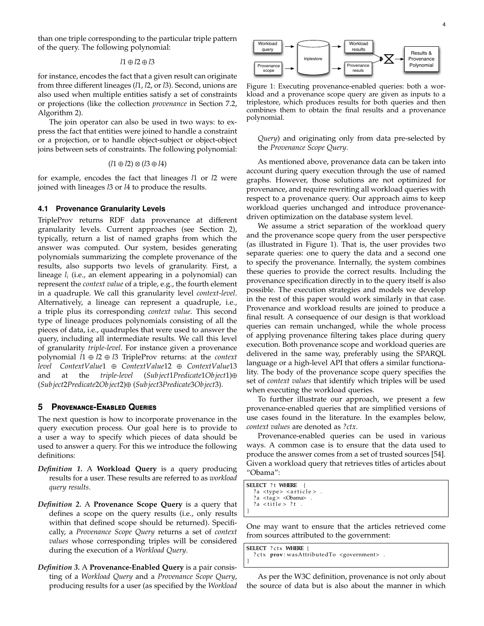than one triple corresponding to the particular triple pattern of the query. The following polynomial:

#### *l*1 ⊕ *l*2 ⊕ *l*3

for instance, encodes the fact that a given result can originate from three different lineages (*l*1, *l*2, or *l*3). Second, unions are also used when multiple entities satisfy a set of constraints or projections (like the collection *provenance* in Section 7.2, Algorithm 2).

The join operator can also be used in two ways: to express the fact that entities were joined to handle a constraint or a projection, or to handle object-subject or object-object joins between sets of constraints. The following polynomial:

$$
(l1 \oplus l2) \otimes (l3 \oplus l4)
$$

for example, encodes the fact that lineages *l*1 or *l*2 were joined with lineages *l*3 or *l*4 to produce the results.

#### **4.1 Provenance Granularity Levels**

TripleProv returns RDF data provenance at different granularity levels. Current approaches (see Section 2), typically, return a list of named graphs from which the answer was computed. Our system, besides generating polynomials summarizing the complete provenance of the results, also supports two levels of granularity. First, a lineage *l<sup>i</sup>* (i.e., an element appearing in a polynomial) can represent the *context value* of a triple, e.g., the fourth element in a quadruple. We call this granularity level *context-level*. Alternatively, a lineage can represent a quadruple, i.e., a triple plus its corresponding *context value*. This second type of lineage produces polynomials consisting of all the pieces of data, i.e., quadruples that were used to answer the query, including all intermediate results. We call this level of granularity *triple-level*. For instance given a provenance polynomial *l*1 ⊕ *l*2 ⊕ *l*3 TripleProv returns: at the *context level ContextValue*1 ⊕ *ContextValue*12 ⊕ *ContextValue*13 and at the *triple-level* (*Subject*1*Predicate*1*Object*1)⊕ (*Subject*2*Predicate*2*Object*2)⊕ (*Subject*3*Predicate*3*Object*3).

#### **5 P**rovenance**-E**nabled **Q**ueries

The next question is how to incorporate provenance in the query execution process. Our goal here is to provide to a user a way to specify which pieces of data should be used to answer a query. For this we introduce the following definitions:

- *Definition 1.* A **Workload Query** is a query producing results for a user. These results are referred to as *workload query results*.
- *Definition 2.* A **Provenance Scope Query** is a query that defines a scope on the query results (i.e., only results within that defined scope should be returned). Specifically, a *Provenance Scope Query* returns a set of *context values* whose corresponding triples will be considered during the execution of a *Workload Query*.
- *Definition 3.* A **Provenance-Enabled Query** is a pair consisting of a *Workload Query* and a *Provenance Scope Query*, producing results for a user (as specified by the *Workload*



Figure 1: Executing provenance-enabled queries: both a workload and a provenance scope query are given as inputs to a triplestore, which produces results for both queries and then combines them to obtain the final results and a provenance polynomial.

*Query*) and originating only from data pre-selected by the *Provenance Scope Query*.

As mentioned above, provenance data can be taken into account during query execution through the use of named graphs. However, those solutions are not optimized for provenance, and require rewriting all workload queries with respect to a provenance query. Our approach aims to keep workload queries unchanged and introduce provenancedriven optimization on the database system level.

We assume a strict separation of the workload query and the provenance scope query from the user perspective (as illustrated in Figure 1). That is, the user provides two separate queries: one to query the data and a second one to specify the provenance. Internally, the system combines these queries to provide the correct results. Including the provenance specification directly in to the query itself is also possible. The execution strategies and models we develop in the rest of this paper would work similarly in that case. Provenance and workload results are joined to produce a final result. A consequence of our design is that workload queries can remain unchanged, while the whole process of applying provenance filtering takes place during query execution. Both provenance scope and workload queries are delivered in the same way, preferably using the SPARQL language or a high-level API that offers a similar functionality. The body of the provenance scope query specifies the set of *context values* that identify which triples will be used when executing the workload queries.

To further illustrate our approach, we present a few provenance-enabled queries that are simplified versions of use cases found in the literature. In the examples below, *context values* are denoted as *?ctx*.

Provenance-enabled queries can be used in various ways. A common case is to ensure that the data used to produce the answer comes from a set of trusted sources [54]. Given a workload query that retrieves titles of articles about "Obama":

```
SELECT ? t WHERE {
  ?a <type> <article> .
  ?a <tag> <Obama>
```

```
?a <title > ?t
```
}

One may want to ensure that the articles retrieved come from sources attributed to the government:

**SELECT** ? ctx WHERE { ? ctx prov: wasAttributedTo <government> . }

As per the W3C definition, provenance is not only about the source of data but is also about the manner in which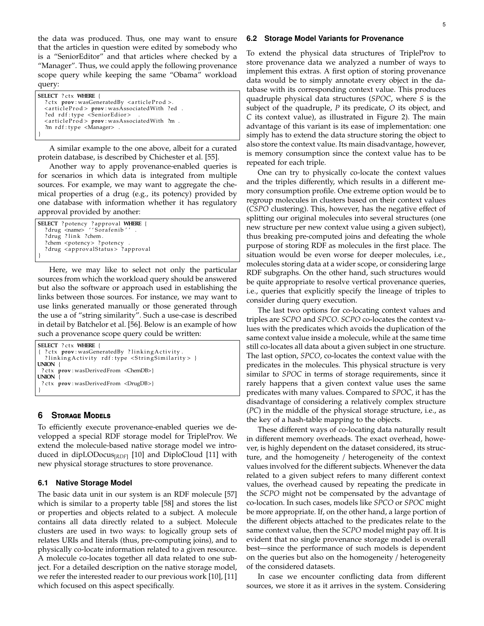the data was produced. Thus, one may want to ensure that the articles in question were edited by somebody who is a "SeniorEditor" and that articles where checked by a "Manager". Thus, we could apply the following provenance scope query while keeping the same "Obama" workload query:

| <b>SELECT ? ctx WHERE {</b>                               |
|-----------------------------------------------------------|
| ? ctx $prox: wasGenerated By .$                           |
| <articleprod> prov: wasAssociatedWith ?ed .</articleprod> |
| ?ed rdf:type <senioredior> .</senioredior>                |
| <articleprod> prov: wasAssociatedWith ?m .</articleprod>  |
| ?m rdf:type <manager> .</manager>                         |
|                                                           |

A similar example to the one above, albeit for a curated protein database, is described by Chichester et al. [55].

Another way to apply provenance-enabled queries is for scenarios in which data is integrated from multiple sources. For example, we may want to aggregate the chemical properties of a drug (e.g., its potency) provided by one database with information whether it has regulatory approval provided by another:

| <b>SELECT</b> ? potency ? approval WHERE {        |
|---------------------------------------------------|
| ?drug <name> ''Sorafenib'' .</name>               |
| ?drug ?link ?chem.                                |
| ?chem <potency> ?potency.</potency>               |
| ?drug <approvalstatus> ?approval</approvalstatus> |
|                                                   |

Here, we may like to select not only the particular sources from which the workload query should be answered but also the software or approach used in establishing the links between those sources. For instance, we may want to use links generated manually or those generated through the use a of "string similarity". Such a use-case is described in detail by Batchelor et al. [56]. Below is an example of how such a provenance scope query could be written:

| <b>SELECT ? ctx WHERE {</b><br>{ ?ctx prov: was Generated By ?linking Activity. |  |
|---------------------------------------------------------------------------------|--|
| ?linkingActivity rdf:type <stringsimilarity> }</stringsimilarity>               |  |
| UNION {                                                                         |  |
| ?ctx prov:wasDerivedFrom <chemdb>}</chemdb>                                     |  |
| UNION {                                                                         |  |
| ? ctx prov: wasDerivedFrom <drugdb>}</drugdb>                                   |  |
|                                                                                 |  |

# **6 S**torage **M**odels

To efficiently execute provenance-enabled queries we developped a special RDF storage model for TripleProv. We extend the molecule-based native storage model we introduced in dipLODocus[*RDF*] [10] and DiploCloud [11] with new physical storage structures to store provenance.

#### **6.1 Native Storage Model**

The basic data unit in our system is an RDF molecule [57] which is similar to a property table [58] and stores the list or properties and objects related to a subject. A molecule contains all data directly related to a subject. Molecule clusters are used in two ways: to logically group sets of relates URIs and literals (thus, pre-computing joins), and to physically co-locate information related to a given resource. A molecule co-locates together all data related to one subject. For a detailed description on the native storage model, we refer the interested reader to our previous work [10], [11] which focused on this aspect specifically.

## **6.2 Storage Model Variants for Provenance**

To extend the physical data structures of TripleProv to store provenance data we analyzed a number of ways to implement this extras. A first option of storing provenance data would be to simply annotate every object in the database with its corresponding context value. This produces quadruple physical data structures (*SPOC*, where *S* is the subject of the quadruple, *P* its predicate, *O* its object, and *C* its context value), as illustrated in Figure 2). The main advantage of this variant is its ease of implementation: one simply has to extend the data structure storing the object to also store the context value. Its main disadvantage, however, is memory consumption since the context value has to be repeated for each triple.

One can try to physically co-locate the context values and the triples differently, which results in a different memory consumption profile. One extreme option would be to regroup molecules in clusters based on their context values (*CSPO* clustering). This, however, has the negative effect of splitting our original molecules into several structures (one new structure per new context value using a given subject), thus breaking pre-computed joins and defeating the whole purpose of storing RDF as molecules in the first place. The situation would be even worse for deeper molecules, i.e., molecules storing data at a wider scope, or considering large RDF subgraphs. On the other hand, such structures would be quite appropriate to resolve vertical provenance queries, i.e., queries that explicitly specify the lineage of triples to consider during query execution.

The last two options for co-locating context values and triples are *SCPO* and *SPCO*. *SCPO* co-locates the context values with the predicates which avoids the duplication of the same context value inside a molecule, while at the same time still co-locates all data about a given subject in one structure. The last option, *SPCO*, co-locates the context value with the predicates in the molecules. This physical structure is very similar to *SPOC* in terms of storage requirements, since it rarely happens that a given context value uses the same predicates with many values. Compared to *SPOC*, it has the disadvantage of considering a relatively complex structure (*PC*) in the middle of the physical storage structure, i.e., as the key of a hash-table mapping to the objects.

These different ways of co-locating data naturally result in different memory overheads. The exact overhead, however, is highly dependent on the dataset considered, its structure, and the homogeneity / heterogeneity of the context values involved for the different subjects. Whenever the data related to a given subject refers to many different context values, the overhead caused by repeating the predicate in the *SCPO* might not be compensated by the advantage of co-location. In such cases, models like *SPCO* or *SPOC* might be more appropriate. If, on the other hand, a large portion of the different objects attached to the predicates relate to the same context value, then the *SCPO* model might pay off. It is evident that no single provenance storage model is overall best—since the performance of such models is dependent on the queries but also on the homogeneity / heterogeneity of the considered datasets.

In case we encounter conflicting data from different sources, we store it as it arrives in the system. Considering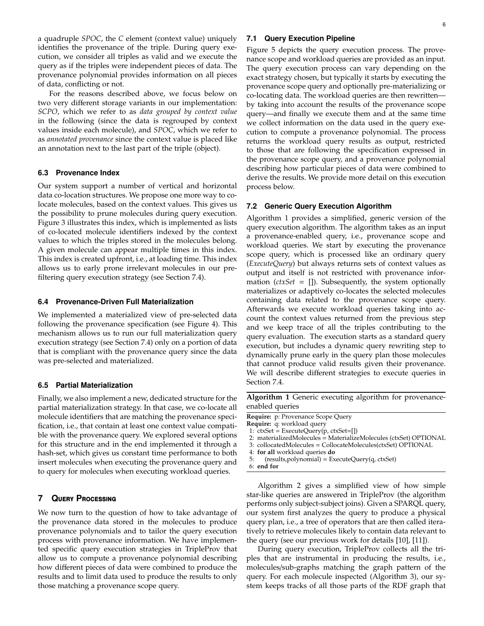a quadruple *SPOC*, the *C* element (context value) uniquely identifies the provenance of the triple. During query execution, we consider all triples as valid and we execute the query as if the triples were independent pieces of data. The provenance polynomial provides information on all pieces of data, conflicting or not.

For the reasons described above, we focus below on two very different storage variants in our implementation: *SCPO*, which we refer to as *data grouped by context value* in the following (since the data is regrouped by context values inside each molecule), and *SPOC*, which we refer to as *annotated provenance* since the context value is placed like an annotation next to the last part of the triple (object).

## **6.3 Provenance Index**

Our system support a number of vertical and horizontal data co-location structures. We propose one more way to colocate molecules, based on the context values. This gives us the possibility to prune molecules during query execution. Figure 3 illustrates this index, which is implemented as lists of co-located molecule identifiers indexed by the context values to which the triples stored in the molecules belong. A given molecule can appear multiple times in this index. This index is created upfront, i.e., at loading time. This index allows us to early prone irrelevant molecules in our prefiltering query execution strategy (see Section 7.4).

#### **6.4 Provenance-Driven Full Materialization**

We implemented a materialized view of pre-selected data following the provenance specification (see Figure 4). This mechanism allows us to run our full materialization query execution strategy (see Section 7.4) only on a portion of data that is compliant with the provenance query since the data was pre-selected and materialized.

#### **6.5 Partial Materialization**

Finally, we also implement a new, dedicated structure for the partial materialization strategy. In that case, we co-locate all molecule identifiers that are matching the provenance specification, i.e., that contain at least one context value compatible with the provenance query. We explored several options for this structure and in the end implemented it through a hash-set, which gives us constant time performance to both insert molecules when executing the provenance query and to query for molecules when executing workload queries.

### **7 Q**uery **P**rocessing

We now turn to the question of how to take advantage of the provenance data stored in the molecules to produce provenance polynomials and to tailor the query execution process with provenance information. We have implemented specific query execution strategies in TripleProv that allow us to compute a provenance polynomial describing how different pieces of data were combined to produce the results and to limit data used to produce the results to only those matching a provenance scope query.

## **7.1 Query Execution Pipeline**

Figure 5 depicts the query execution process. The provenance scope and workload queries are provided as an input. The query execution process can vary depending on the exact strategy chosen, but typically it starts by executing the provenance scope query and optionally pre-materializing or co-locating data. The workload queries are then rewritten by taking into account the results of the provenance scope query—and finally we execute them and at the same time we collect information on the data used in the query execution to compute a provenance polynomial. The process returns the workload query results as output, restricted to those that are following the specification expressed in the provenance scope query, and a provenance polynomial describing how particular pieces of data were combined to derive the results. We provide more detail on this execution process below.

#### **7.2 Generic Query Execution Algorithm**

Algorithm 1 provides a simplified, generic version of the query execution algorithm. The algorithm takes as an input a provenance-enabled query, i.e., provenance scope and workload queries. We start by executing the provenance scope query, which is processed like an ordinary query (*ExecuteQuery*) but always returns sets of context values as output and itself is not restricted with provenance information (*ctxSet* = []). Subsequently, the system optionally materializes or adaptively co-locates the selected molecules containing data related to the provenance scope query. Afterwards we execute workload queries taking into account the context values returned from the previous step and we keep trace of all the triples contributing to the query evaluation. The execution starts as a standard query execution, but includes a dynamic query rewriting step to dynamically prune early in the query plan those molecules that cannot produce valid results given their provenance. We will describe different strategies to execute queries in Section 7.4.

**Algorithm 1** Generic executing algorithm for provenanceenabled queries

| <b>Require:</b> p: Provenance Scope Query                         |
|-------------------------------------------------------------------|
| <b>Require:</b> q: workload query                                 |
| 1: $ctxSet = ExerciseQueueQuery(p, ctxSet=[])$                    |
| 2: materializedMolecules = MaterializeMolecules (ctxSet) OPTIONAL |
| 3: collocatedMolecules = CollocateMolecules(ctxSet) OPTIONAL      |
| 4: for all workload queries do                                    |
| $(results, polynomial) = ExecutiveQuery(q, ctxSet)$<br>5:         |
| $6:$ end for                                                      |
|                                                                   |

Algorithm 2 gives a simplified view of how simple star-like queries are answered in TripleProv (the algorithm performs only subject-subject joins). Given a SPARQL query, our system first analyzes the query to produce a physical query plan, i.e., a tree of operators that are then called iteratively to retrieve molecules likely to contain data relevant to the query (see our previous work for details [10], [11]).

During query execution, TripleProv collects all the triples that are instrumental in producing the results, i.e., molecules/sub-graphs matching the graph pattern of the query. For each molecule inspected (Algorithm 3), our system keeps tracks of all those parts of the RDF graph that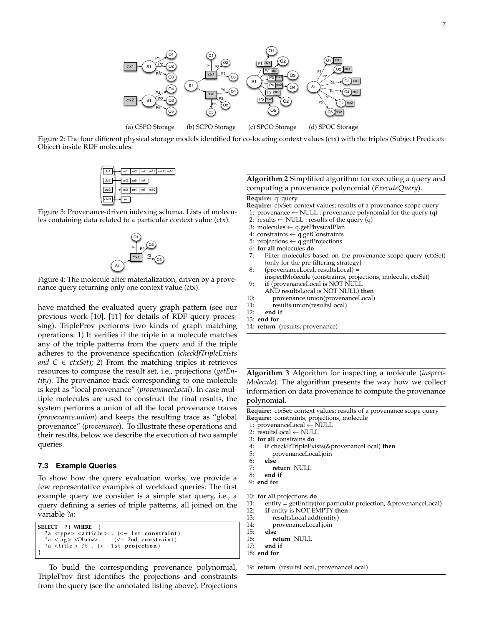

Figure 2: The four different physical storage models identified for co-locating context values (ctx) with the triples (Subject Predicate Object) inside RDF molecules.



Figure 3: Provenance-driven indexing schema. Lists of molecules containing data related to a particular context value (ctx).



Figure 4: The molecule after materialization, driven by a provenance query returning only one context value (ctx).

have matched the evaluated query graph pattern (see our previous work [10], [11] for details of RDF query processing). TripleProv performs two kinds of graph matching operations: 1) It verifies if the triple in a molecule matches any of the triple patterns from the query and if the triple adheres to the provenance specification (*checkIfTripleExists and*  $C \in ctxSet$ ; 2) From the matching triples it retrieves resources to compose the result set, i.e., projections (*getEntity*). The provenance track corresponding to one molecule is kept as "local provenance" (*provenanceLocal*). In case multiple molecules are used to construct the final results, the system performs a union of all the local provenance traces (*provenance.union*) and keeps the resulting trace as "global provenance" (*provenance*). To illustrate these operations and their results, below we describe the execution of two sample queries.

#### **7.3 Example Queries**

To show how the query evaluation works, we provide a few representative examples of workload queries: The first example query we consider is a simple star query, i.e., a query defining a series of triple patterns, all joined on the variable ?*a*:

```
SELECT ? t WHERE {
   ?a <type> <article> . (<- 1st constraint)<br>?a <tag> <Obama> . (<- 2nd constraint)
                                   (<- 1st constraint)<br>(<- 2nd constraint)
   ?a <title > ?t . (<- 1st projection)
}
```
To build the corresponding provenance polynomial, TripleProv first identifies the projections and constraints from the query (see the annotated listing above). Projections

## **Algorithm 2** Simplified algorithm for executing a query and computing a provenance polynomial (*ExecuteQuery*).

## **Require:** q: query

- **Require:** ctxSet: context values; results of a provenance scope query
- 1: provenance ← NULL : provenance polynomial for the query (q)
- 2:  $results \leftarrow NULL : results of the query (q)$
- 3: molecules ← q.getPhysicalPlan
- 4: constraints ← q.getConstraints
- 5: projections ← q.getProjections
- 6: **for all** molecules **do**
- 7: Filter molecules based on the provenance scope query (ctxSet) {only for the pre-filtering strategy}
- 8: (provenanceLocal, resultsLocal) =
- inspectMolecule (constraints, projections, molecule, ctxSet) 9: **if** (provenanceLocal is NOT NULL
- AND resultsLocal is NOT NULL) **then**
- 10: provenance.union(provenanceLocal)
- 11: results.union(resultsLocal)
- 12: **end if**
- 13: **end for**
- 14: **return** (results, provenance)

**Algorithm 3** Algorithm for inspecting a molecule (*inspect-Molecule*). The algorithm presents the way how we collect information on data provenance to compute the provenance polynomial.

**Require:** ctxSet: context values; results of a provenance scope query **Require:** constraints, projections, molecule

- 1: provenanceLocal ← NULL
- 2: resultsLocal ← NULL
- 3: **for all** constrains **do**
- 4: **if** checkIfTripleExists(&provenanceLocal) **then**
- 5: provenanceLocal.join
- 6: **else**
- 7: **return** NULL
- 8: **end if**
- 9: **end for**

10: **for all** projections **do**

- 11: entity = getEntity(for particular projection, &provenanceLocal)
- 12: **if** entity is NOT EMPTY **then**
	- 13: resultsLocal.add(entity)
- 14: provenanceLocal.join
- 15: **else**
- 16: **return** NULL<br>17: **end if** 
	- end if
- 18: **end for**

19: **return** (resultsLocal, provenanceLocal)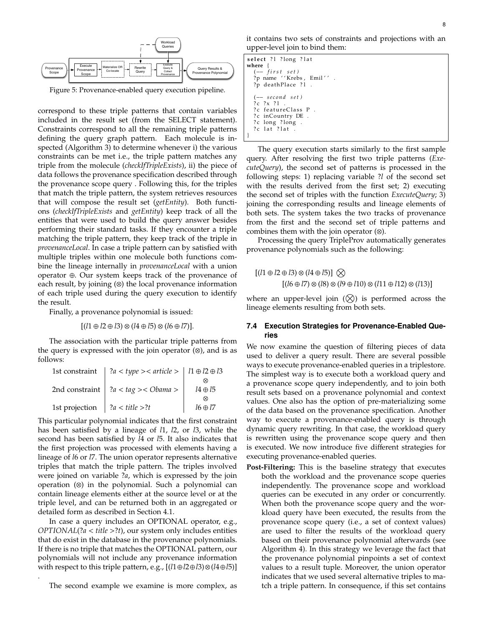

Figure 5: Provenance-enabled query execution pipeline.

correspond to these triple patterns that contain variables included in the result set (from the SELECT statement). Constraints correspond to all the remaining triple patterns defining the query graph pattern. Each molecule is inspected (Algorithm 3) to determine whenever i) the various constraints can be met i.e., the triple pattern matches any triple from the molecule (*checkIfTripleExists*), ii) the piece of data follows the provenance specification described through the provenance scope query . Following this, for the triples that match the triple pattern, the system retrieves resources that will compose the result set (*getEntity*). Both functions (*checkIfTripleExists* and *getEntity*) keep track of all the entities that were used to build the query answer besides performing their standard tasks. If they encounter a triple matching the triple pattern, they keep track of the triple in *provenanceLocal*. In case a triple pattern can by satisfied with multiple triples within one molecule both functions combine the lineage internally in *provenanceLocal* with a union operator ⊕. Our system keeps track of the provenance of each result, by joining (⊗) the local provenance information of each triple used during the query execution to identify the result.

Finally, a provenance polynomial is issued:

$$
[(l1 \oplus l2 \oplus l3) \otimes (l4 \oplus l5) \otimes (l6 \oplus l7)].
$$

The association with the particular triple patterns from the query is expressed with the join operator  $(\otimes)$ , and is as follows:

|                                                              | 1st constraint $\begin{array}{c c} \n3 & 2a < type > < article > 0 \n\end{array}$ 11 $\oplus$ 12 $\oplus$ 13 |                |
|--------------------------------------------------------------|--------------------------------------------------------------------------------------------------------------|----------------|
|                                                              |                                                                                                              |                |
|                                                              | 2nd constraint $\vert$ ?a < tag >< Obama > $\vert$                                                           | $l4 \oplus l5$ |
|                                                              |                                                                                                              |                |
| 1st projection $\vert$ ? <i>a</i> < <i>title</i> >? <i>t</i> |                                                                                                              | $l6 \oplus l7$ |

This particular polynomial indicates that the first constraint has been satisfied by a lineage of *l*1, *l*2, or *l*3, while the second has been satisfied by *l*4 or *l*5. It also indicates that the first projection was processed with elements having a lineage of *l*6 or *l*7. The union operator represents alternative triples that match the triple pattern. The triples involved were joined on variable ?*a*, which is expressed by the join operation (⊗) in the polynomial. Such a polynomial can contain lineage elements either at the source level or at the triple level, and can be returned both in an aggregated or detailed form as described in Section 4.1.

In case a query includes an OPTIONAL operator, e.g., *OPTIONAL*(?*a* < *title* >?*t*), our system only includes entities that do exist in the database in the provenance polynomials. If there is no triple that matches the OPTIONAL pattern, our polynomials will not include any provenance information with respect to this triple pattern, e.g., [(*l*1⊕*l*2⊕*l*3)⊗(*l*4⊕*l*5)]

.

it contains two sets of constraints and projections with an upper-level join to bind them:

| select ?1 ?long ?lat     |  |
|--------------------------|--|
| where {                  |  |
| $($ --first set)         |  |
| ?p name ''Krebs, Emil''. |  |
| ?p deathPlace ?1.        |  |
|                          |  |
| $(--$ second set)        |  |
| $?c ?x ?1$ .             |  |
| ?c featureClass P.       |  |
| ?c inCountry DE .        |  |
| ?c long ?long.           |  |
| ?c lat ?lat .            |  |
|                          |  |

The query execution starts similarly to the first sample query. After resolving the first two triple patterns (*ExecuteQuery*), the second set of patterns is processed in the following steps: 1) replacing variable ?*l* of the second set with the results derived from the first set; 2) executing the second set of triples with the function *ExecuteQuery*; 3) joining the corresponding results and lineage elements of both sets. The system takes the two tracks of provenance from the first and the second set of triple patterns and combines them with the join operator (⊗).

Processing the query TripleProv automatically generates provenance polynomials such as the following:

$$
[(l1 \oplus l2 \oplus l3) \otimes (l4 \oplus l5)] \otimes
$$

[(*l*6 ⊕ *l*7) ⊗ (*l*8) ⊗ (*l*9 ⊕ *l*10) ⊗ (*l*11 ⊕ *l*12) ⊗ (*l*13)]

where an upper-level join  $(\otimes)$  is performed across the lineage elements resulting from both sets.

# **7.4 Execution Strategies for Provenance-Enabled Queries**

We now examine the question of filtering pieces of data used to deliver a query result. There are several possible ways to execute provenance-enabled queries in a triplestore. The simplest way is to execute both a workload query and a provenance scope query independently, and to join both result sets based on a provenance polynomial and context values. One also has the option of pre-materializing some of the data based on the provenance specification. Another way to execute a provenance-enabled query is through dynamic query rewriting. In that case, the workload query is rewritten using the provenance scope query and then is executed. We now introduce five different strategies for executing provenance-enabled queries.

**Post-Filtering:** This is the baseline strategy that executes both the workload and the provenance scope queries independently. The provenance scope and workload queries can be executed in any order or concurrently. When both the provenance scope query and the workload query have been executed, the results from the provenance scope query (i.e., a set of context values) are used to filter the results of the workload query based on their provenance polynomial afterwards (see Algorithm 4). In this strategy we leverage the fact that the provenance polynomial pinpoints a set of context values to a result tuple. Moreover, the union operator indicates that we used several alternative triples to match a triple pattern. In consequence, if this set contains

The second example we examine is more complex, as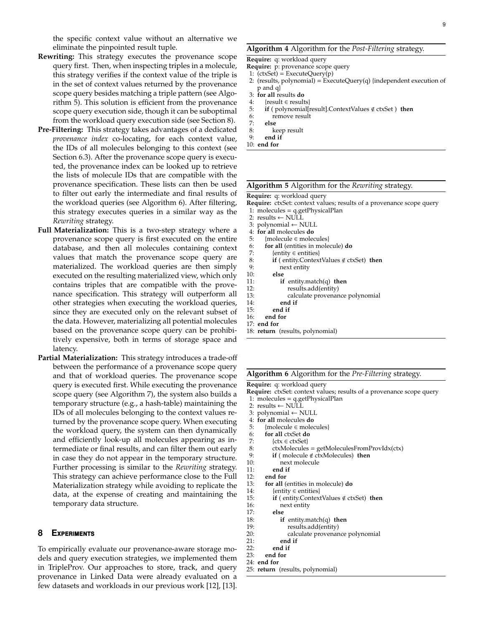the specific context value without an alternative we eliminate the pinpointed result tuple.

- **Rewriting:** This strategy executes the provenance scope query first. Then, when inspecting triples in a molecule, this strategy verifies if the context value of the triple is in the set of context values returned by the provenance scope query besides matching a triple pattern (see Algorithm 5). This solution is efficient from the provenance scope query execution side, though it can be suboptimal from the workload query execution side (see Section 8).
- **Pre-Filtering:** This strategy takes advantages of a dedicated *provenance index* co-locating, for each context value, the IDs of all molecules belonging to this context (see Section 6.3). After the provenance scope query is executed, the provenance index can be looked up to retrieve the lists of molecule IDs that are compatible with the provenance specification. These lists can then be used to filter out early the intermediate and final results of the workload queries (see Algorithm 6). After filtering, this strategy executes queries in a similar way as the *Rewriting* strategy.
- **Full Materialization:** This is a two-step strategy where a provenance scope query is first executed on the entire database, and then all molecules containing context values that match the provenance scope query are materialized. The workload queries are then simply executed on the resulting materialized view, which only contains triples that are compatible with the provenance specification. This strategy will outperform all other strategies when executing the workload queries, since they are executed only on the relevant subset of the data. However, materializing all potential molecules based on the provenance scope query can be prohibitively expensive, both in terms of storage space and latency.
- **Partial Materialization:** This strategy introduces a trade-off between the performance of a provenance scope query and that of workload queries. The provenance scope query is executed first. While executing the provenance scope query (see Algorithm 7), the system also builds a temporary structure (e.g., a hash-table) maintaining the IDs of all molecules belonging to the context values returned by the provenance scope query. When executing the workload query, the system can then dynamically and efficiently look-up all molecules appearing as intermediate or final results, and can filter them out early in case they do not appear in the temporary structure. Further processing is similar to the *Rewriting* strategy. This strategy can achieve performance close to the Full Materialization strategy while avoiding to replicate the data, at the expense of creating and maintaining the temporary data structure.

#### **8 E**xperiments

To empirically evaluate our provenance-aware storage models and query execution strategies, we implemented them in TripleProv. Our approaches to store, track, and query provenance in Linked Data were already evaluated on a few datasets and workloads in our previous work [12], [13].

# **Algorithm 4** Algorithm for the *Post-Filtering* strategy.

#### **Require:** q: workload query

- **Require:** p: provenance scope query
- 1: (ctxSet) = ExecuteQuery(p)
- 2: (results, polynomial) = ExecuteQuery(q) {independent execution of p and q}
- 3: **for all** results **do**
- 4: { $result \in results$ }
- 5: **if** ( polynomial[result].ContextValues < ctxSet ) **then**
- 6: remove result<br>7: **else**
- 7: **else**
- 8: keep result<br>9: **end if**
- 9: **end if**
- 10: **end for**

#### **Algorithm 5** Algorithm for the *Rewriting* strategy.

#### **Require:** q: workload query

**Require:** ctxSet: context values; results of a provenance scope query

- 1: molecules = q.getPhysicalPlan
- 2: results ← NULL
- 3: polynomial ← NULL
- 4: **for all** molecules **do**<br>5:  ${molecule \in molecal}$
- 5: {molecule ∈ molecules}<br>6: **for all** (entities in mole
- 6: **for all** (entities in molecule) **do**<br>7.  $\{$ entity  $\in$  entities}
- 7: {entity  $\in$  entities}<br>8: **if** (entity Contex
- 8: **if** ( entity.ContextValues ∉ ctxSet) **then**<br>9: **best** entity
- 9: next entity<br> $\frac{10}{10}$  else
- 10: **else**
- 11: **if** entity.match(q) **then**<br>12: **if** results.add(entity)
- 12: results.add(entity)<br>13: calculate provenar
- 13: calculate provenance polynomial<br>14. **end if**
- end if
- 15: **end if**
- end for
- 17: **end for**
- 18: **return** (results, polynomial)

**Require:** q: workload query

- **Require:** ctxSet: context values; results of a provenance scope query 1: molecules = q.getPhysicalPlan
- 
- 2: results  $\leftarrow$  NULL<br>3: polynomial  $\leftarrow$  N 3: polynomial ← NULL
- 4: **for all** molecules **do**<br>5: {molecule  $\in$  molecule}
- 5: {molecule ∈ molecules}<br>6: **for all** ctxSet **do**
- 6: **for all** ctxSet **do**<br>7:  $\{ctx \in ctxSet\}$
- 7: {ctx ∈ ctxSet}<br>8: ctxMolecules
- 8: ctxMolecules = getMoleculesFromProvIdx(ctx)<br>9. **if** (molecule  $\notin$  ctxMolecules) **then**
- 9: **if** ( molecule  $\notin$  ctxMolecules) **then**<br>10: **heat** molecule
- 10: next molecule<br>11: **end if**
- 11: **end if**
- 12: **end for**
	- 13: **for all** (entities in molecule) **do**
	-
- 14: {entity ∈ entities}<br>15: **if** (entity.Contex 15: **if** ( entity.ContextValues < ctxSet) **then**
- 16: next entity<br>17: **else**
- 17: **else**
- 18: **if** entity.match(q) **then**
- 19: results.add(entity)<br>20: calculate provenary
- 20: calculate provenance polynomial<br>21: **end if**
- 21: **end if**
- 22: **end if**
- end for
- 24: **end for**
- 25: **return** (results, polynomial)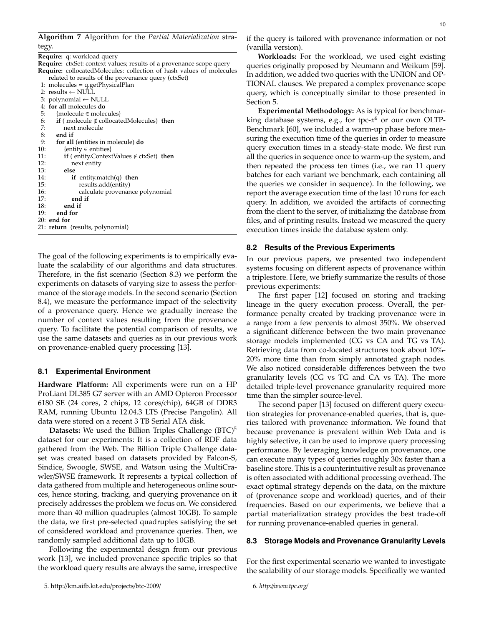| <b>Require:</b> q: workload query                                           |
|-----------------------------------------------------------------------------|
| Require: ctxSet: context values; results of a provenance scope query        |
| <b>Require:</b> collocatedMolecules: collection of hash values of molecules |
| related to results of the provenance query (ctxSet)                         |
| 1: molecules = q.getPhysicalPlan                                            |
| 2: results $\leftarrow$ NULL                                                |
| 3: polynomial $\leftarrow$ NULL                                             |
| 4: for all molecules do                                                     |
| 5:<br>{molecule $\in$ molecules}                                            |
| if (molecule $\notin$ collocated Molecules) then<br>6:                      |
| 7:<br>next molecule                                                         |
| 8:<br>end if                                                                |
| 9:<br>for all (entities in molecule) do                                     |
| 10:<br>{entity $\in$ entities}                                              |
| if (entity.ContextValues $\notin$ ctxSet) then<br>11:                       |
| 12:<br>next entity                                                          |
| 13:<br>else                                                                 |
| 14:<br>if entity.match $(q)$ then                                           |
| 15:<br>results.add(entity)                                                  |
| 16:<br>calculate provenance polynomial                                      |
| end if<br>17:                                                               |
| 18:<br>end if                                                               |
| $19:$ end for                                                               |
| $20:$ end for                                                               |
| 21: return (results, polynomial)                                            |
|                                                                             |

The goal of the following experiments is to empirically evaluate the scalability of our algorithms and data structures. Therefore, in the fist scenario (Section 8.3) we perform the experiments on datasets of varying size to assess the performance of the storage models. In the second scenario (Section 8.4), we measure the performance impact of the selectivity of a provenance query. Hence we gradually increase the number of context values resulting from the provenance query. To facilitate the potential comparison of results, we use the same datasets and queries as in our previous work on provenance-enabled query processing [13].

# **8.1 Experimental Environment**

**Hardware Platform:** All experiments were run on a HP ProLiant DL385 G7 server with an AMD Opteron Processor 6180 SE (24 cores, 2 chips, 12 cores/chip), 64GB of DDR3 RAM, running Ubuntu 12.04.3 LTS (Precise Pangolin). All data were stored on a recent 3 TB Serial ATA disk.

**Datasets:** We used the Billion Triples Challenge (BTC)<sup>5</sup> dataset for our experiments: It is a collection of RDF data gathered from the Web. The Billion Triple Challenge dataset was created based on datasets provided by Falcon-S, Sindice, Swoogle, SWSE, and Watson using the MultiCrawler/SWSE framework. It represents a typical collection of data gathered from multiple and heterogeneous online sources, hence storing, tracking, and querying provenance on it precisely addresses the problem we focus on. We considered more than 40 million quadruples (almost 10GB). To sample the data, we first pre-selected quadruples satisfying the set of considered workload and provenance queries. Then, we randomly sampled additional data up to 10GB.

Following the experimental design from our previous work [13], we included provenance specific triples so that the workload query results are always the same, irrespective

5. http://km.aifb.kit.edu/projects/btc-2009/

**Workloads:** For the workload, we used eight existing queries originally proposed by Neumann and Weikum [59]. In addition, we added two queries with the UNION and OP-TIONAL clauses. We prepared a complex provenance scope query, which is conceptually similar to those presented in Section 5.

**Experimental Methodology:** As is typical for benchmarking database systems, e.g., for tpc-*x* <sup>6</sup> or our own OLTP-Benchmark [60], we included a warm-up phase before measuring the execution time of the queries in order to measure query execution times in a steady-state mode. We first run all the queries in sequence once to warm-up the system, and then repeated the process ten times (i.e., we ran 11 query batches for each variant we benchmark, each containing all the queries we consider in sequence). In the following, we report the average execution time of the last 10 runs for each query. In addition, we avoided the artifacts of connecting from the client to the server, of initializing the database from files, and of printing results. Instead we measured the query execution times inside the database system only.

# **8.2 Results of the Previous Experiments**

In our previous papers, we presented two independent systems focusing on different aspects of provenance within a triplestore. Here, we briefly summarize the results of those previous experiments:

The first paper [12] focused on storing and tracking lineage in the query execution process. Overall, the performance penalty created by tracking provenance were in a range from a few percents to almost 350%. We observed a significant difference between the two main provenance storage models implemented (CG vs CA and TG vs TA). Retrieving data from co-located structures took about 10%- 20% more time than from simply annotated graph nodes. We also noticed considerable differences between the two granularity levels (CG vs TG and CA vs TA). The more detailed triple-level provenance granularity required more time than the simpler source-level.

The second paper [13] focused on different query execution strategies for provenance-enabled queries, that is, queries tailored with provenance information. We found that because provenance is prevalent within Web Data and is highly selective, it can be used to improve query processing performance. By leveraging knowledge on provenance, one can execute many types of queries roughly 30x faster than a baseline store. This is a counterintuitive result as provenance is often associated with additional processing overhead. The exact optimal strategy depends on the data, on the mixture of (provenance scope and workload) queries, and of their frequencies. Based on our experiments, we believe that a partial materialization strategy provides the best trade-off for running provenance-enabled queries in general.

# **8.3 Storage Models and Provenance Granularity Levels**

For the first experimental scenario we wanted to investigate the scalability of our storage models. Specifically we wanted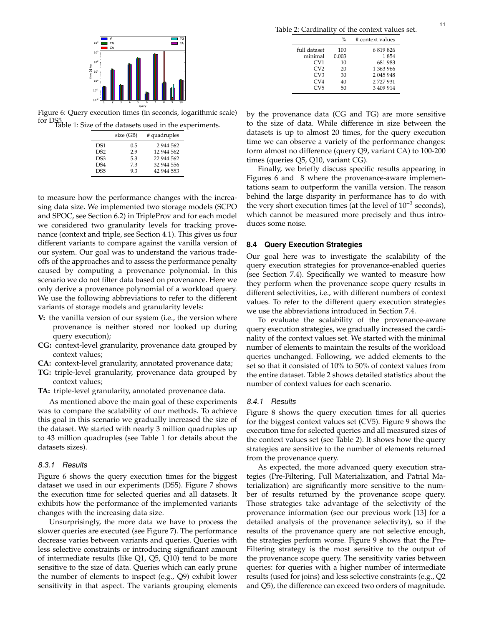Table 2: Cardinality of the context values set.



Figure 6: Query execution times (in seconds, logarithmic scale) for DS5. Table 1: Size of the datasets used in the experiments.

|                 | size (GB) | # quadruples |
|-----------------|-----------|--------------|
| D <sub>S1</sub> | 0.5       | 2 944 562    |
| D <sub>S2</sub> | 2.9       | 12 944 562   |
| DS3             | 5.3       | 22 944 562   |
| D <sub>S4</sub> | 7.3       | 32 944 556   |
| DS <sub>5</sub> | 93        | 42 944 553   |

to measure how the performance changes with the increasing data size. We implemented two storage models (SCPO and SPOC, see Section 6.2) in TripleProv and for each model we considered two granularity levels for tracking provenance (context and triple, see Section 4.1). This gives us four different variants to compare against the vanilla version of our system. Our goal was to understand the various tradeoffs of the approaches and to assess the performance penalty caused by computing a provenance polynomial. In this scenario we do not filter data based on provenance. Here we only derive a provenance polynomial of a workload query. We use the following abbreviations to refer to the different variants of storage models and granularity levels:

- **V:** the vanilla version of our system (i.e., the version where provenance is neither stored nor looked up during query execution);
- **CG:** context-level granularity, provenance data grouped by context values;
- **CA:** context-level granularity, annotated provenance data;
- **TG:** triple-level granularity, provenance data grouped by context values;
- **TA:** triple-level granularity, annotated provenance data.

As mentioned above the main goal of these experiments was to compare the scalability of our methods. To achieve this goal in this scenario we gradually increased the size of the dataset. We started with nearly 3 million quadruples up to 43 million quadruples (see Table 1 for details about the datasets sizes).

#### 8.3.1 Results

Figure 6 shows the query execution times for the biggest dataset we used in our experiments (DS5). Figure 7 shows the execution time for selected queries and all datasets. It exhibits how the performance of the implemented variants changes with the increasing data size.

Unsurprisingly, the more data we have to process the slower queries are executed (see Figure 7). The performance decrease varies between variants and queries. Queries with less selective constraints or introducing significant amount of intermediate results (like Q1, Q5, Q10) tend to be more sensitive to the size of data. Queries which can early prune the number of elements to inspect (e.g., Q9) exhibit lower sensitivity in that aspect. The variants grouping elements

|              | $\%$  | # context values |
|--------------|-------|------------------|
| full dataset | 100   | 6819826          |
| minimal      | 0.003 | 1854             |
| CV1          | 10    | 681 983          |
| CV2          | 20    | 1 363 966        |
| CV3          | 30    | 2 045 948        |
| CV4          | 40    | 2 727 931        |
| CV5          | 50    | 3 409 914        |

by the provenance data (CG and TG) are more sensitive to the size of data. While difference in size between the datasets is up to almost 20 times, for the query execution time we can observe a variety of the performance changes: form almost no difference (query Q9, variant CA) to 100-200 times (queries Q5, Q10, variant CG).

Finally, we briefly discuss specific results appearing in Figures 6 and 8 where the provenance-aware implementations seam to outperform the vanilla version. The reason behind the large disparity in performance has to do with the very short execution times (at the level of  $10^{-3}$  seconds), which cannot be measured more precisely and thus introduces some noise.

#### **8.4 Query Execution Strategies**

Our goal here was to investigate the scalability of the query execution strategies for provenance-enabled queries (see Section 7.4). Specifically we wanted to measure how they perform when the provenance scope query results in different selectivities, i.e., with different numbers of context values. To refer to the different query execution strategies we use the abbreviations introduced in Section 7.4.

To evaluate the scalability of the provenance-aware query execution strategies, we gradually increased the cardinality of the context values set. We started with the minimal number of elements to maintain the results of the workload queries unchanged. Following, we added elements to the set so that it consisted of 10% to 50% of context values from the entire dataset. Table 2 shows detailed statistics about the number of context values for each scenario.

#### 8.4.1 Results

Figure 8 shows the query execution times for all queries for the biggest context values set (CV5). Figure 9 shows the execution time for selected queries and all measured sizes of the context values set (see Table 2). It shows how the query strategies are sensitive to the number of elements returned from the provenance query.

As expected, the more advanced query execution strategies (Pre-Filtering, Full Materialization, and Patrial Materialization) are significantly more sensitive to the number of results returned by the provenance scope query. Those strategies take advantage of the selectivity of the provenance information (see our previous work [13] for a detailed analysis of the provenance selectivity), so if the results of the provenance query are not selective enough, the strategies perform worse. Figure 9 shows that the Pre-Filtering strategy is the most sensitive to the output of the provenance scope query. The sensitivity varies between queries: for queries with a higher number of intermediate results (used for joins) and less selective constraints (e.g., Q2 and Q5), the difference can exceed two orders of magnitude.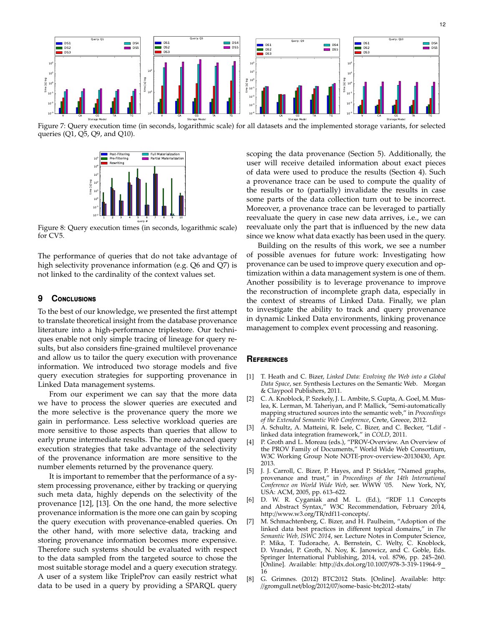

Figure 7: Query execution time (in seconds, logarithmic scale) for all datasets and the implemented storage variants, for selected queries (Q1, Q5, Q9, and Q10).



Figure 8: Query execution times (in seconds, logarithmic scale) for CV5.

The performance of queries that do not take advantage of high selectivity provenance information (e.g. Q6 and Q7) is not linked to the cardinality of the context values set.

# **9 C**onclusions

To the best of our knowledge, we presented the first attempt to translate theoretical insight from the database provenance literature into a high-performance triplestore. Our techniques enable not only simple tracing of lineage for query results, but also considers fine-grained multilevel provenance and allow us to tailor the query execution with provenance information. We introduced two storage models and five query execution strategies for supporting provenance in Linked Data management systems.

From our experiment we can say that the more data we have to process the slower queries are executed and the more selective is the provenance query the more we gain in performance. Less selective workload queries are more sensitive to those aspects than queries that allow to early prune intermediate results. The more advanced query execution strategies that take advantage of the selectivity of the provenance information are more sensitive to the number elements returned by the provenance query.

It is important to remember that the performance of a system processing provenance, either by tracking or querying such meta data, highly depends on the selectivity of the provenance [12], [13]. On the one hand, the more selective provenance information is the more one can gain by scoping the query execution with provenance-enabled queries. On the other hand, with more selective data, tracking and storing provenance information becomes more expensive. Therefore such systems should be evaluated with respect to the data sampled from the targeted source to chose the most suitable storage model and a query execution strategy. A user of a system like TripleProv can easily restrict what data to be used in a query by providing a SPARQL query

scoping the data provenance (Section 5). Additionally, the user will receive detailed information about exact pieces of data were used to produce the results (Section 4). Such a provenance trace can be used to compute the quality of the results or to (partially) invalidate the results in case some parts of the data collection turn out to be incorrect. Moreover, a provenance trace can be leveraged to partially reevaluate the query in case new data arrives, i.e., we can reevaluate only the part that is influenced by the new data since we know what data exactly has been used in the query.

Building on the results of this work, we see a number of possible avenues for future work: Investigating how provenance can be used to improve query execution and optimization within a data management system is one of them. Another possibility is to leverage provenance to improve the reconstruction of incomplete graph data, especially in the context of streams of Linked Data. Finally, we plan to investigate the ability to track and query provenance in dynamic Linked Data environments, linking provenance management to complex event processing and reasoning.

#### **R**eferences

- [1] T. Heath and C. Bizer, *Linked Data: Evolving the Web into a Global Data Space*, ser. Synthesis Lectures on the Semantic Web. Morgan & Claypool Publishers, 2011.
- [2] C. A. Knoblock, P. Szekely, J. L. Ambite, S. Gupta, A. Goel, M. Muslea, K. Lerman, M. Taheriyan, and P. Mallick, "Semi-automatically mapping structured sources into the semantic web," in *Proceedings of the Extended Semantic Web Conference*, Crete, Greece, 2012.
- [3] A. Schultz, A. Matteini, R. Isele, C. Bizer, and C. Becker, "Ldif linked data integration framework," in *COLD*, 2011.
- P. Groth and L. Moreau (eds.), "PROV-Overview. An Overview of the PROV Family of Documents," World Wide Web Consortium, W3C Working Group Note NOTE-prov-overview-20130430, Apr. 2013.
- [5] J. J. Carroll, C. Bizer, P. Hayes, and P. Stickler, "Named graphs, provenance and trust," in *Proceedings of the 14th International Conference on World Wide Web*, ser. WWW '05. New York, NY, USA: ACM, 2005, pp. 613–622.
- [6] D. W. R. Cyganiak and M. L. (Ed.), "RDF 1.1 Concepts and Abstract Syntax," W3C Recommendation, February 2014, http://www.w3.org/TR/rdf11-concepts/.
- [7] M. Schmachtenberg, C. Bizer, and H. Paulheim, "Adoption of the linked data best practices in different topical domains," in *The Semantic Web, ISWC 2014*, ser. Lecture Notes in Computer Science, P. Mika, T. Tudorache, A. Bernstein, C. Welty, C. Knoblock, D. Vrandei, P. Groth, N. Noy, K. Janowicz, and C. Goble, Eds. Springer International Publishing, 2014, vol. 8796, pp. 245–260. [Online]. Available: http://dx.doi.org/10.1007/978-3-319-11964-9 16
- [8] G. Grimnes. (2012) BTC2012 Stats. [Online]. Available: http: //gromgull.net/blog/2012/07/some-basic-btc2012-stats/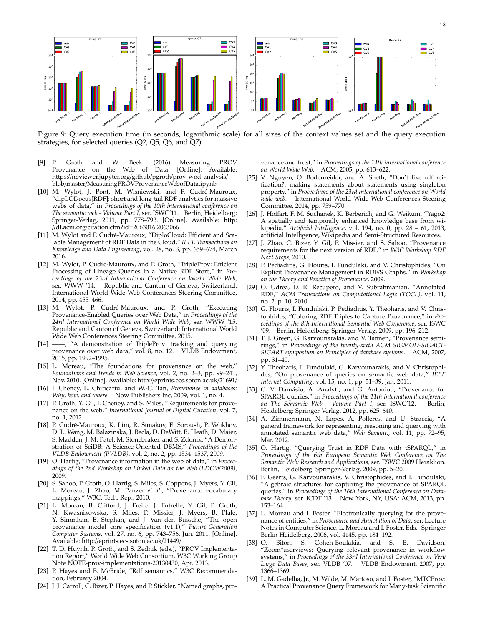

Figure 9: Query execution time (in seconds, logarithmic scale) for all sizes of the context values set and the query execution strategies, for selected queries (Q2, Q5, Q6, and Q7).

- [9] P. Groth and W. Beek. (2016) Measuring PROV Provenance on the Web of Data. [Online]. Available: https://nbviewer.jupyter.org/github/pgroth/prov-wod-analysis/ blob/master/MeasuringPROVProvenanceWebofData.ipynb
- [10] M. Wylot, J. Pont, M. Wisniewski, and P. Cudré-Mauroux, "dipLODocus[RDF]: short and long-tail RDF analytics for massive webs of data," in *Proceedings of the 10th international conference on The semantic web - Volume Part I*, ser. ISWC'11. Berlin, Heidelberg: Springer-Verlag, 2011, pp. 778–793. [Online]. Available: http: //dl.acm.org/citation.cfm?id=2063016.2063066
- [11] M. Wylot and P. Cudré-Mauroux, "DiploCloud: Efficient and Scalable Management of RDF Data in the Cloud," *IEEE Transactions on Knowledge and Data Engineering*, vol. 28, no. 3, pp. 659–674, March 2016.
- [12] M. Wylot, P. Cudre-Mauroux, and P. Groth, "TripleProv: Efficient Processing of Lineage Queries in a Native RDF Store," in *Proceedings of the 23rd International Conference on World Wide Web*, ser. WWW '14. Republic and Canton of Geneva, Switzerland: International World Wide Web Conferences Steering Committee, 2014, pp. 455–466.
- [13] M. Wylot, P. Cudré-Mauroux, and P. Groth, "Executing Provenance-Enabled Queries over Web Data," in *Proceedings of the 24rd International Conference on World Wide Web*, ser. WWW '15. Republic and Canton of Geneva, Switzerland: International World Wide Web Conferences Steering Committee, 2015.
- [14] —–, "A demonstration of TripleProv: tracking and querying provenance over web data," vol. 8, no. 12. VLDB Endowment, 2015, pp. 1992–1995.
- [15] L. Moreau, "The foundations for provenance on the web," *Foundations and Trends in Web Science*, vol. 2, no. 2–3, pp. 99–241, Nov. 2010. [Online]. Available: http://eprints.ecs.soton.ac.uk/21691/
- [16] J. Cheney, L. Chiticariu, and W.-C. Tan, *Provenance in databases: Why, how, and where*. Now Publishers Inc, 2009, vol. 1, no. 4.
- [17] P. Groth, Y. Gil, J. Cheney, and S. Miles, "Requirements for provenance on the web," *International Journal of Digital Curation*, vol. 7, no. 1, 2012.
- [18] P. Cudré-Mauroux, K. Lim, R. Simakov, E. Soroush, P. Velikhov, D. L. Wang, M. Balazinska, J. Becla, D. DeWitt, B. Heath, D. Maier, S. Madden, J. M. Patel, M. Stonebraker, and S. Zdonik, "A Demonstration of SciDB: A Science-Oriented DBMS," *Proceedings of the VLDB Endowment (PVLDB)*, vol. 2, no. 2, pp. 1534–1537, 2009.
- [19] O. Hartig, "Provenance information in the web of data," in *Proceedings of the 2nd Workshop on Linked Data on the Web (LDOW2009)*, 2009.
- [20] S. Sahoo, P. Groth, O. Hartig, S. Miles, S. Coppens, J. Myers, Y. Gil, L. Moreau, J. Zhao, M. Panzer *et al.*, "Provenance vocabulary mappings," W3C, Tech. Rep., 2010.
- [21] L. Moreau, B. Clifford, J. Freire, J. Futrelle, Y. Gil, P. Groth, N. Kwasnikowska, S. Miles, P. Missier, J. Myers, B. Plale, Y. Simmhan, E. Stephan, and J. Van den Bussche, "The open provenance model core specification (v1.1)," *Future Generation Computer Systems*, vol. 27, no. 6, pp. 743–756, Jun. 2011. [Online]. Available: http://eprints.ecs.soton.ac.uk/21449/
- [22] T. D. Huynh, P. Groth, and S. Zednik (eds.), "PROV Implementation Report," World Wide Web Consortium, W3C Working Group Note NOTE-prov-implementations-20130430, Apr. 2013.
- [23] P. Hayes and B. McBride, "Rdf semantics," W3C Recommendation, February 2004.
- [24] J. J. Carroll, C. Bizer, P. Hayes, and P. Stickler, "Named graphs, pro-

venance and trust," in *Proceedings of the 14th international conference on World Wide Web*. ACM, 2005, pp. 613–622.

- [25] V. Nguyen, O. Bodenreider, and A. Sheth, "Don't like rdf reification?: making statements about statements using singleton property," in *Proceedings of the 23rd international conference on World wide web*. International World Wide Web Conferences Steering Committee, 2014, pp. 759–770.
- [26] J. Hoffart, F. M. Suchanek, K. Berberich, and G. Weikum, "Yago2: A spatially and temporally enhanced knowledge base from wikipedia," *Artificial Intelligence*, vol. 194, no. 0, pp. 28 – 61, 2013, artificial Intelligence, Wikipedia and Semi-Structured Resources.
- [27] J. Zhao, C. Bizer, Y. Gil, P. Missier, and S. Sahoo, "Provenance requirements for the next version of RDF," in *W3C Workshop RDF Next Steps*, 2010.
- [28] P. Pediaditis, G. Flouris, I. Fundulaki, and V. Christophides, "On Explicit Provenance Management in RDF/S Graphs." in *Workshop on the Theory and Practice of Provenance*, 2009.
- [29] O. Udrea, D. R. Recupero, and V. Subrahmanian, "Annotated RDF," *ACM Transactions on Computational Logic (TOCL)*, vol. 11, no. 2, p. 10, 2010.
- [30] G. Flouris, I. Fundulaki, P. Pediaditis, Y. Theoharis, and V. Christophides, "Coloring RDF Triples to Capture Provenance," in *Proceedings of the 8th International Semantic Web Conference*, ser. ISWC '09. Berlin, Heidelberg: Springer-Verlag, 2009, pp. 196–212.
- [31] T. J. Green, G. Karvounarakis, and V. Tannen, "Provenance semirings," in *Proceedings of the twenty-sixth ACM SIGMOD-SIGACT-SIGART symposium on Principles of database systems*. ACM, 2007, pp. 31–40.
- [32] Y. Theoharis, I. Fundulaki, G. Karvounarakis, and V. Christophides, "On provenance of queries on semantic web data," *IEEE Internet Computing*, vol. 15, no. 1, pp. 31–39, Jan. 2011.
- [33] C. V. Damásio, A. Analyti, and G. Antoniou, "Provenance for SPARQL queries," in *Proceedings of the 11th international conference on The Semantic Web - Volume Part I*, ser. ISWC'12. Berlin, Heidelberg: Springer-Verlag, 2012, pp. 625–640.
- [34] A. Zimmermann, N. Lopes, A. Polleres, and U. Straccia, "A general framework for representing, reasoning and querying with annotated semantic web data," *Web Semant.*, vol. 11, pp. 72–95, Mar. 2012.
- [35] O. Hartig, "Querying Trust in RDF Data with tSPARQL," in *Proceedings of the 6th European Semantic Web Conference on The Semantic Web: Research and Applications*, ser. ESWC 2009 Heraklion. Berlin, Heidelberg: Springer-Verlag, 2009, pp. 5–20.
- [36] F. Geerts, G. Karvounarakis, V. Christophides, and I. Fundulaki, "Algebraic structures for capturing the provenance of SPARQL queries," in *Proceedings of the 16th International Conference on Database Theory*, ser. ICDT '13. New York, NY, USA: ACM, 2013, pp. 153–164.
- [37] L. Moreau and I. Foster, "Electronically querying for the provenance of entities," in *Provenance and Annotation of Data*, ser. Lecture Notes in Computer Science, L. Moreau and I. Foster, Eds. Springer Berlin Heidelberg, 2006, vol. 4145, pp. 184–192.
- [38] O. Biton, S. Cohen-Boulakia, and S. B. Davidson, "Zoom\*userviews: Querying relevant provenance in workflow systems," in *Proceedings of the 33rd International Conference on Very Large Data Bases*, ser. VLDB '07. VLDB Endowment, 2007, pp. 1366–1369.
- [39] L. M. Gadelha, Jr., M. Wilde, M. Mattoso, and I. Foster, "MTCProv: A Practical Provenance Query Framework for Many-task Scientific